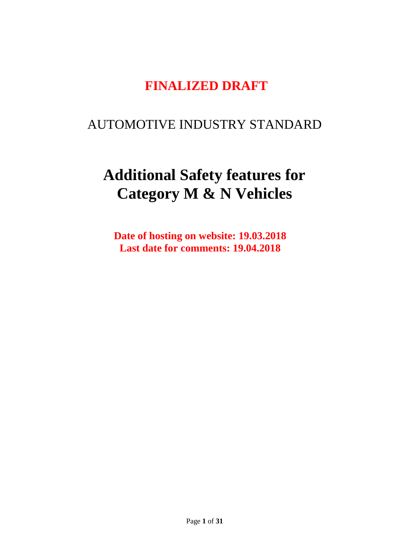# **FINALIZED DRAFT**

# AUTOMOTIVE INDUSTRY STANDARD

# **Additional Safety features for Category M & N Vehicles**

**Date of hosting on website: 19.03.2018 Last date for comments: 19.04.2018**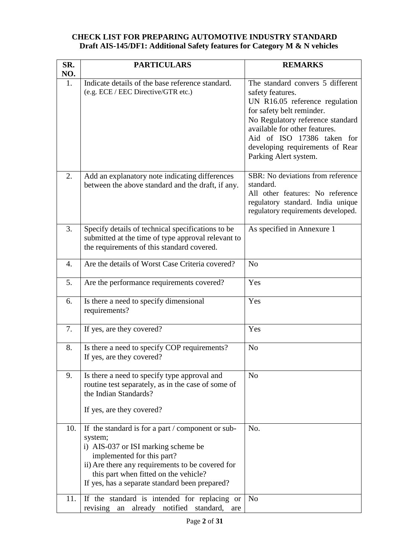### **CHECK LIST FOR PREPARING AUTOMOTIVE INDUSTRY STANDARD Draft AIS-145/DF1: Additional Safety features for Category M & N vehicles**

| SR.        | <b>PARTICULARS</b>                                                                                                                                                                                                                                                                                                               | <b>REMARKS</b>                                                                                                                                                                                                                                                                     |
|------------|----------------------------------------------------------------------------------------------------------------------------------------------------------------------------------------------------------------------------------------------------------------------------------------------------------------------------------|------------------------------------------------------------------------------------------------------------------------------------------------------------------------------------------------------------------------------------------------------------------------------------|
| NO.        |                                                                                                                                                                                                                                                                                                                                  |                                                                                                                                                                                                                                                                                    |
| 1.         | Indicate details of the base reference standard.<br>(e.g. ECE / EEC Directive/GTR etc.)                                                                                                                                                                                                                                          | The standard convers 5 different<br>safety features.<br>UN R16.05 reference regulation<br>for safety belt reminder.<br>No Regulatory reference standard<br>available for other features.<br>Aid of ISO 17386 taken for<br>developing requirements of Rear<br>Parking Alert system. |
| 2.         | Add an explanatory note indicating differences<br>between the above standard and the draft, if any.                                                                                                                                                                                                                              | SBR: No deviations from reference<br>standard.<br>All other features: No reference<br>regulatory standard. India unique<br>regulatory requirements developed.                                                                                                                      |
| 3.         | Specify details of technical specifications to be<br>submitted at the time of type approval relevant to<br>the requirements of this standard covered.                                                                                                                                                                            | As specified in Annexure 1                                                                                                                                                                                                                                                         |
| 4.         | Are the details of Worst Case Criteria covered?                                                                                                                                                                                                                                                                                  | N <sub>o</sub>                                                                                                                                                                                                                                                                     |
| 5.         | Are the performance requirements covered?                                                                                                                                                                                                                                                                                        | Yes                                                                                                                                                                                                                                                                                |
| 6.         | Is there a need to specify dimensional<br>requirements?                                                                                                                                                                                                                                                                          | Yes                                                                                                                                                                                                                                                                                |
| 7.         | If yes, are they covered?                                                                                                                                                                                                                                                                                                        | Yes                                                                                                                                                                                                                                                                                |
| 8.         | Is there a need to specify COP requirements?<br>If yes, are they covered?                                                                                                                                                                                                                                                        | N <sub>o</sub>                                                                                                                                                                                                                                                                     |
| 9.         | Is there a need to specify type approval and<br>routine test separately, as in the case of some of<br>the Indian Standards?<br>If yes, are they covered?                                                                                                                                                                         | N <sub>o</sub>                                                                                                                                                                                                                                                                     |
| 10.<br>11. | If the standard is for a part / component or sub-<br>system;<br>i) AIS-037 or ISI marking scheme be<br>implemented for this part?<br>ii) Are there any requirements to be covered for<br>this part when fitted on the vehicle?<br>If yes, has a separate standard been prepared?<br>If the standard is intended for replacing or | No.<br>N <sub>o</sub>                                                                                                                                                                                                                                                              |
|            | notified<br>revising<br>already<br>standard,<br>an<br>are                                                                                                                                                                                                                                                                        |                                                                                                                                                                                                                                                                                    |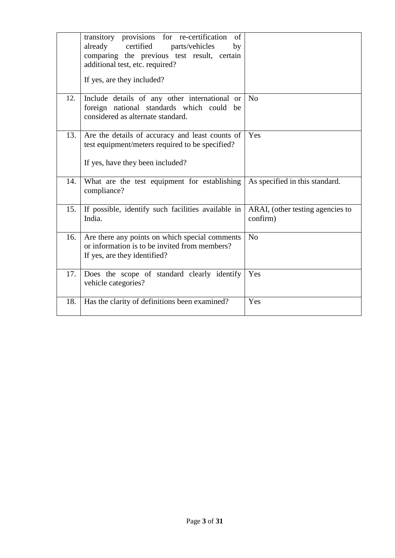|     | transitory provisions for re-certification<br>of<br>certified<br>already<br>parts/vehicles<br>by<br>comparing the previous test result, certain<br>additional test, etc. required?<br>If yes, are they included? |                                              |
|-----|------------------------------------------------------------------------------------------------------------------------------------------------------------------------------------------------------------------|----------------------------------------------|
| 12. | Include details of any other international or<br>foreign national standards which could be<br>considered as alternate standard.                                                                                  | N <sub>o</sub>                               |
| 13. | Are the details of accuracy and least counts of<br>test equipment/meters required to be specified?<br>If yes, have they been included?                                                                           | Yes                                          |
| 14. | What are the test equipment for establishing<br>compliance?                                                                                                                                                      | As specified in this standard.               |
| 15. | If possible, identify such facilities available in<br>India.                                                                                                                                                     | ARAI, (other testing agencies to<br>confirm) |
| 16. | Are there any points on which special comments<br>or information is to be invited from members?<br>If yes, are they identified?                                                                                  | N <sub>o</sub>                               |
| 17. | Does the scope of standard clearly identify<br>vehicle categories?                                                                                                                                               | Yes                                          |
| 18. | Has the clarity of definitions been examined?                                                                                                                                                                    | Yes                                          |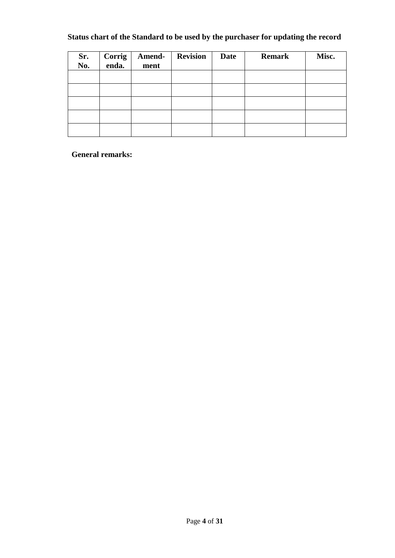### **Status chart of the Standard to be used by the purchaser for updating the record**

| Sr.<br>No. | Corrig<br>enda. | Amend-<br>ment | <b>Revision</b> | <b>Date</b> | <b>Remark</b> | Misc. |
|------------|-----------------|----------------|-----------------|-------------|---------------|-------|
|            |                 |                |                 |             |               |       |
|            |                 |                |                 |             |               |       |
|            |                 |                |                 |             |               |       |
|            |                 |                |                 |             |               |       |
|            |                 |                |                 |             |               |       |

**General remarks:**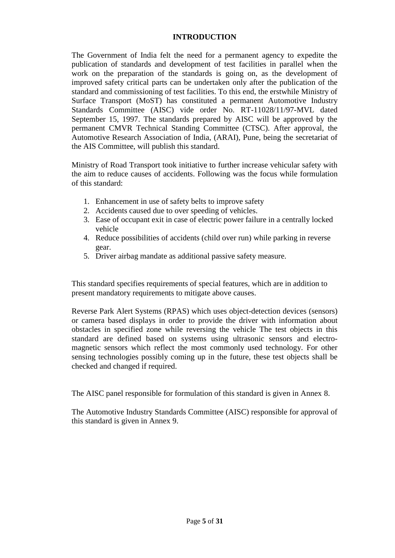### **INTRODUCTION**

The Government of India felt the need for a permanent agency to expedite the publication of standards and development of test facilities in parallel when the work on the preparation of the standards is going on, as the development of improved safety critical parts can be undertaken only after the publication of the standard and commissioning of test facilities. To this end, the erstwhile Ministry of Surface Transport (MoST) has constituted a permanent Automotive Industry Standards Committee (AISC) vide order No. RT-11028/11/97-MVL dated September 15, 1997. The standards prepared by AISC will be approved by the permanent CMVR Technical Standing Committee (CTSC). After approval, the Automotive Research Association of India, (ARAI), Pune, being the secretariat of the AIS Committee, will publish this standard.

Ministry of Road Transport took initiative to further increase vehicular safety with the aim to reduce causes of accidents. Following was the focus while formulation of this standard:

- 1. Enhancement in use of safety belts to improve safety
- 2. Accidents caused due to over speeding of vehicles.
- 3. Ease of occupant exit in case of electric power failure in a centrally locked vehicle
- 4. Reduce possibilities of accidents (child over run) while parking in reverse gear.
- 5. Driver airbag mandate as additional passive safety measure.

This standard specifies requirements of special features, which are in addition to present mandatory requirements to mitigate above causes.

Reverse Park Alert Systems (RPAS) which uses object-detection devices (sensors) or camera based displays in order to provide the driver with information about obstacles in specified zone while reversing the vehicle The test objects in this standard are defined based on systems using ultrasonic sensors and electromagnetic sensors which reflect the most commonly used technology. For other sensing technologies possibly coming up in the future, these test objects shall be checked and changed if required.

The AISC panel responsible for formulation of this standard is given in Annex 8.

The Automotive Industry Standards Committee (AISC) responsible for approval of this standard is given in Annex 9.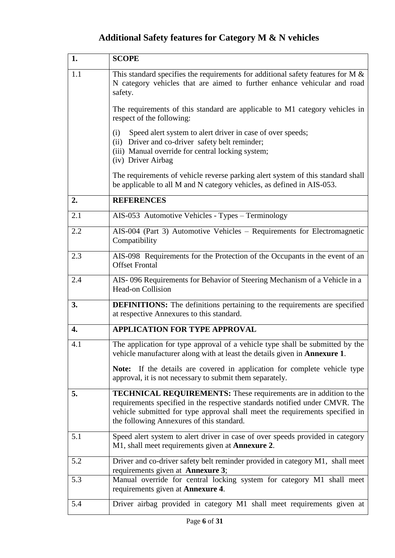## **Additional Safety features for Category M & N vehicles**

| 1.  | <b>SCOPE</b>                                                                                                                                                                                                                                                                         |
|-----|--------------------------------------------------------------------------------------------------------------------------------------------------------------------------------------------------------------------------------------------------------------------------------------|
| 1.1 | This standard specifies the requirements for additional safety features for M $\&$<br>N category vehicles that are aimed to further enhance vehicular and road<br>safety.                                                                                                            |
|     | The requirements of this standard are applicable to M1 category vehicles in<br>respect of the following:                                                                                                                                                                             |
|     | Speed alert system to alert driver in case of over speeds;<br>(i)<br>(ii) Driver and co-driver safety belt reminder;<br>(iii) Manual override for central locking system;<br>(iv) Driver Airbag                                                                                      |
|     | The requirements of vehicle reverse parking alert system of this standard shall<br>be applicable to all M and N category vehicles, as defined in AIS-053.                                                                                                                            |
| 2.  | <b>REFERENCES</b>                                                                                                                                                                                                                                                                    |
| 2.1 | AIS-053 Automotive Vehicles - Types - Terminology                                                                                                                                                                                                                                    |
| 2.2 | AIS-004 (Part 3) Automotive Vehicles - Requirements for Electromagnetic<br>Compatibility                                                                                                                                                                                             |
| 2.3 | AIS-098 Requirements for the Protection of the Occupants in the event of an<br><b>Offset Frontal</b>                                                                                                                                                                                 |
| 2.4 | AIS-096 Requirements for Behavior of Steering Mechanism of a Vehicle in a<br><b>Head-on Collision</b>                                                                                                                                                                                |
| 3.  | <b>DEFINITIONS:</b> The definitions pertaining to the requirements are specified<br>at respective Annexures to this standard.                                                                                                                                                        |
| 4.  | <b>APPLICATION FOR TYPE APPROVAL</b>                                                                                                                                                                                                                                                 |
| 4.1 | The application for type approval of a vehicle type shall be submitted by the<br>vehicle manufacturer along with at least the details given in <b>Annexure 1</b> .                                                                                                                   |
|     | Note: If the details are covered in application for complete vehicle type<br>approval, it is not necessary to submit them separately.                                                                                                                                                |
| 5.  | <b>TECHNICAL REQUIREMENTS:</b> These requirements are in addition to the<br>requirements specified in the respective standards notified under CMVR. The<br>vehicle submitted for type approval shall meet the requirements specified in<br>the following Annexures of this standard. |
| 5.1 | Speed alert system to alert driver in case of over speeds provided in category<br>M1, shall meet requirements given at <b>Annexure 2</b> .                                                                                                                                           |
| 5.2 | Driver and co-driver safety belt reminder provided in category M1, shall meet<br>requirements given at <b>Annexure 3</b> ;                                                                                                                                                           |
| 5.3 | Manual override for central locking system for category M1 shall meet<br>requirements given at <b>Annexure 4</b> .                                                                                                                                                                   |
| 5.4 | Driver airbag provided in category M1 shall meet requirements given at                                                                                                                                                                                                               |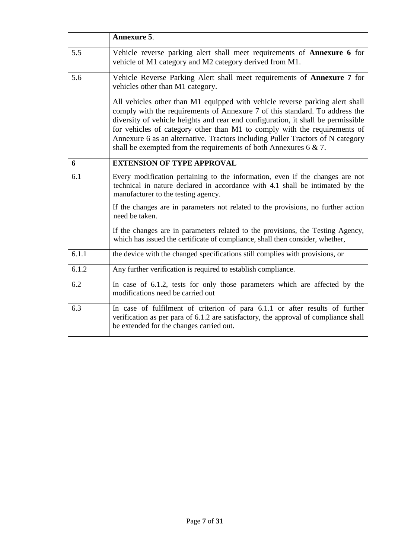|       | Annexure 5.                                                                                                                                                                                                                                                                                                                                                                                                                                                                           |
|-------|---------------------------------------------------------------------------------------------------------------------------------------------------------------------------------------------------------------------------------------------------------------------------------------------------------------------------------------------------------------------------------------------------------------------------------------------------------------------------------------|
| 5.5   | Vehicle reverse parking alert shall meet requirements of <b>Annexure 6</b> for<br>vehicle of M1 category and M2 category derived from M1.                                                                                                                                                                                                                                                                                                                                             |
| 5.6   | Vehicle Reverse Parking Alert shall meet requirements of <b>Annexure 7</b> for<br>vehicles other than M1 category.                                                                                                                                                                                                                                                                                                                                                                    |
|       | All vehicles other than M1 equipped with vehicle reverse parking alert shall<br>comply with the requirements of Annexure 7 of this standard. To address the<br>diversity of vehicle heights and rear end configuration, it shall be permissible<br>for vehicles of category other than M1 to comply with the requirements of<br>Annexure 6 as an alternative. Tractors including Puller Tractors of N category<br>shall be exempted from the requirements of both Annexures $6 & 7$ . |
| 6     | <b>EXTENSION OF TYPE APPROVAL</b>                                                                                                                                                                                                                                                                                                                                                                                                                                                     |
| 6.1   | Every modification pertaining to the information, even if the changes are not<br>technical in nature declared in accordance with 4.1 shall be intimated by the<br>manufacturer to the testing agency.                                                                                                                                                                                                                                                                                 |
|       | If the changes are in parameters not related to the provisions, no further action<br>need be taken.                                                                                                                                                                                                                                                                                                                                                                                   |
|       | If the changes are in parameters related to the provisions, the Testing Agency,<br>which has issued the certificate of compliance, shall then consider, whether,                                                                                                                                                                                                                                                                                                                      |
| 6.1.1 | the device with the changed specifications still complies with provisions, or                                                                                                                                                                                                                                                                                                                                                                                                         |
| 6.1.2 | Any further verification is required to establish compliance.                                                                                                                                                                                                                                                                                                                                                                                                                         |
| 6.2   | In case of 6.1.2, tests for only those parameters which are affected by the<br>modifications need be carried out                                                                                                                                                                                                                                                                                                                                                                      |
| 6.3   | In case of fulfilment of criterion of para 6.1.1 or after results of further<br>verification as per para of 6.1.2 are satisfactory, the approval of compliance shall<br>be extended for the changes carried out.                                                                                                                                                                                                                                                                      |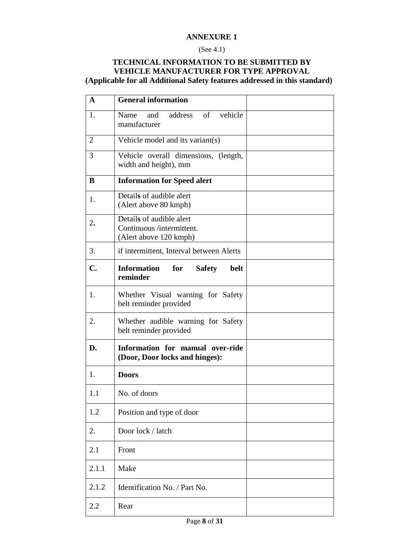#### (See 4.1)

### **TECHNICAL INFORMATION TO BE SUBMITTED BY VEHICLE MANUFACTURER FOR TYPE APPROVAL (Applicable for all Additional Safety features addressed in this standard)**

| $\mathbf{A}$   | <b>General information</b>                                                      |  |
|----------------|---------------------------------------------------------------------------------|--|
| 1.             | vehicle<br>Name<br>address<br>of<br>and<br>manufacturer                         |  |
| $\overline{2}$ | Vehicle model and its variant(s)                                                |  |
| 3              | Vehicle overall dimensions, (length,<br>width and height), mm                   |  |
| B              | <b>Information for Speed alert</b>                                              |  |
| 1.             | Details of audible alert<br>(Alert above 80 kmph)                               |  |
| 2.             | Details of audible alert<br>Continuous /intermittent.<br>(Alert above 120 kmph) |  |
| 3.             | if intermittent, Interval between Alerts                                        |  |
| $C_{\bullet}$  | <b>Information</b><br>for<br>belt<br><b>Safety</b><br>reminder                  |  |
| 1.             | Whether Visual warning for Safety<br>belt reminder provided                     |  |
| 2.             | Whether audible warning for Safety<br>belt reminder provided                    |  |
| D.             | Information for manual over-ride<br>(Door, Door locks and hinges):              |  |
| 1.             | <b>Doors</b>                                                                    |  |
| 1.1            | No. of doors                                                                    |  |
| 1.2            | Position and type of door                                                       |  |
| 2.             | Door lock / latch                                                               |  |
| 2.1            | Front                                                                           |  |
| 2.1.1          | Make                                                                            |  |
| 2.1.2          | Identification No. / Part No.                                                   |  |
| 2.2            | Rear                                                                            |  |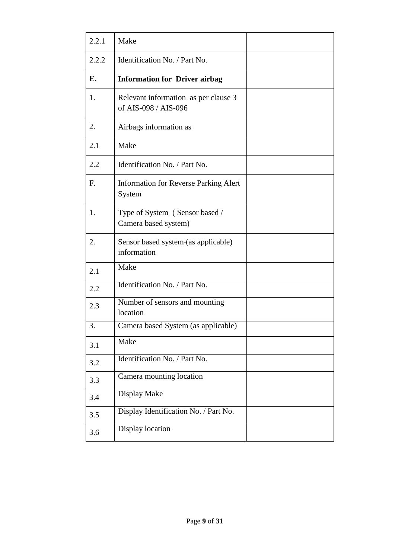| 2.2.1 | Make                                                         |  |
|-------|--------------------------------------------------------------|--|
| 2.2.2 | Identification No. / Part No.                                |  |
| E.    | <b>Information for Driver airbag</b>                         |  |
| 1.    | Relevant information as per clause 3<br>of AIS-098 / AIS-096 |  |
| 2.    | Airbags information as                                       |  |
| 2.1   | Make                                                         |  |
| 2.2   | Identification No. / Part No.                                |  |
| F.    | <b>Information for Reverse Parking Alert</b><br>System       |  |
| 1.    | Type of System (Sensor based /<br>Camera based system)       |  |
| 2.    | Sensor based system-(as applicable)<br>information           |  |
| 2.1   | Make                                                         |  |
| 2.2   | Identification No. / Part No.                                |  |
| 2.3   | Number of sensors and mounting<br>location                   |  |
| 3.    | Camera based System (as applicable)                          |  |
| 3.1   | Make                                                         |  |
| 3.2   | Identification No. / Part No.                                |  |
| 3.3   | Camera mounting location                                     |  |
| 3.4   | Display Make                                                 |  |
| 3.5   | Display Identification No. / Part No.                        |  |
| 3.6   | Display location                                             |  |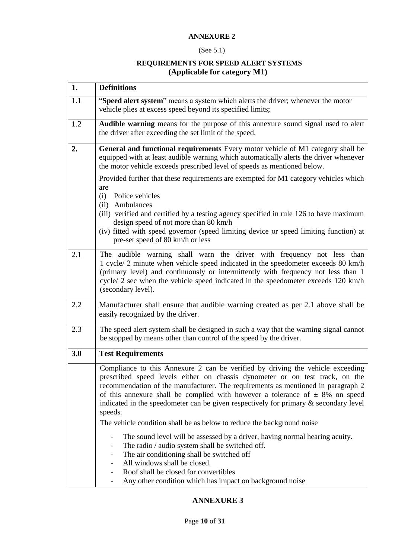### (See 5.1)

### **REQUIREMENTS FOR SPEED ALERT SYSTEMS (Applicable for category M**1**)**

| 1.  | <b>Definitions</b>                                                                                                                                                                                                                                                                                                                                                                                                                                                                                                     |
|-----|------------------------------------------------------------------------------------------------------------------------------------------------------------------------------------------------------------------------------------------------------------------------------------------------------------------------------------------------------------------------------------------------------------------------------------------------------------------------------------------------------------------------|
| 1.1 | "Speed alert system" means a system which alerts the driver; whenever the motor<br>vehicle plies at excess speed beyond its specified limits;                                                                                                                                                                                                                                                                                                                                                                          |
| 1.2 | Audible warning means for the purpose of this annexure sound signal used to alert<br>the driver after exceeding the set limit of the speed.                                                                                                                                                                                                                                                                                                                                                                            |
| 2.  | General and functional requirements Every motor vehicle of M1 category shall be<br>equipped with at least audible warning which automatically alerts the driver whenever<br>the motor vehicle exceeds prescribed level of speeds as mentioned below.                                                                                                                                                                                                                                                                   |
|     | Provided further that these requirements are exempted for M1 category vehicles which<br>are<br>(i)<br>Police vehicles<br>(ii) Ambulances<br>(iii) verified and certified by a testing agency specified in rule 126 to have maximum<br>design speed of not more than 80 km/h<br>(iv) fitted with speed governor (speed limiting device or speed limiting function) at<br>pre-set speed of 80 km/h or less                                                                                                               |
| 2.1 | The audible warning shall warn the driver with frequency not less than<br>1 cycle/ 2 minute when vehicle speed indicated in the speedometer exceeds 80 km/h<br>(primary level) and continuously or intermittently with frequency not less than 1<br>cycle/ 2 sec when the vehicle speed indicated in the speedometer exceeds 120 km/h<br>(secondary level).                                                                                                                                                            |
| 2.2 | Manufacturer shall ensure that audible warning created as per 2.1 above shall be<br>easily recognized by the driver.                                                                                                                                                                                                                                                                                                                                                                                                   |
| 2.3 | The speed alert system shall be designed in such a way that the warning signal cannot<br>be stopped by means other than control of the speed by the driver.                                                                                                                                                                                                                                                                                                                                                            |
| 3.0 | <b>Test Requirements</b>                                                                                                                                                                                                                                                                                                                                                                                                                                                                                               |
|     | Compliance to this Annexure 2 can be verified by driving the vehicle exceeding<br>prescribed speed levels either on chassis dynometer or on test track, on the<br>recommendation of the manufacturer. The requirements as mentioned in paragraph 2<br>of this annexure shall be complied with however a tolerance of $\pm$ 8% on speed<br>indicated in the speedometer can be given respectively for primary $\&$ secondary level<br>speeds.<br>The vehicle condition shall be as below to reduce the background noise |
|     | The sound level will be assessed by a driver, having normal hearing acuity.                                                                                                                                                                                                                                                                                                                                                                                                                                            |
|     | The radio / audio system shall be switched off.<br>-<br>The air conditioning shall be switched off<br>All windows shall be closed.<br>Roof shall be closed for convertibles<br>Any other condition which has impact on background noise<br>-                                                                                                                                                                                                                                                                           |

### **ANNEXURE 3**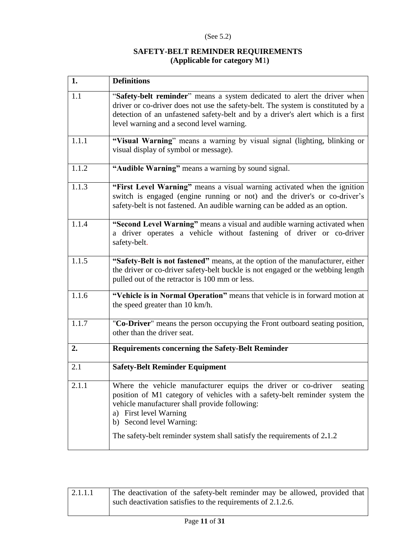### (See 5.2)

### **SAFETY-BELT REMINDER REQUIREMENTS (Applicable for category M**1**)**

| 1.    | <b>Definitions</b>                                                                                                                                                                                                                                                                                                                                 |
|-------|----------------------------------------------------------------------------------------------------------------------------------------------------------------------------------------------------------------------------------------------------------------------------------------------------------------------------------------------------|
| 1.1   | "Safety-belt reminder" means a system dedicated to alert the driver when<br>driver or co-driver does not use the safety-belt. The system is constituted by a<br>detection of an unfastened safety-belt and by a driver's alert which is a first<br>level warning and a second level warning.                                                       |
| 1.1.1 | "Visual Warning" means a warning by visual signal (lighting, blinking or<br>visual display of symbol or message).                                                                                                                                                                                                                                  |
| 1.1.2 | "Audible Warning" means a warning by sound signal.                                                                                                                                                                                                                                                                                                 |
| 1.1.3 | "First Level Warning" means a visual warning activated when the ignition<br>switch is engaged (engine running or not) and the driver's or co-driver's<br>safety-belt is not fastened. An audible warning can be added as an option.                                                                                                                |
| 1.1.4 | "Second Level Warning" means a visual and audible warning activated when<br>a driver operates a vehicle without fastening of driver or co-driver<br>safety-belt.                                                                                                                                                                                   |
| 1.1.5 | "Safety-Belt is not fastened" means, at the option of the manufacturer, either<br>the driver or co-driver safety-belt buckle is not engaged or the webbing length<br>pulled out of the retractor is 100 mm or less.                                                                                                                                |
| 1.1.6 | "Vehicle is in Normal Operation" means that vehicle is in forward motion at<br>the speed greater than 10 km/h.                                                                                                                                                                                                                                     |
| 1.1.7 | "Co-Driver" means the person occupying the Front outboard seating position,<br>other than the driver seat.                                                                                                                                                                                                                                         |
| 2.    | <b>Requirements concerning the Safety-Belt Reminder</b>                                                                                                                                                                                                                                                                                            |
| 2.1   | <b>Safety-Belt Reminder Equipment</b>                                                                                                                                                                                                                                                                                                              |
| 2.1.1 | Where the vehicle manufacturer equips the driver or co-driver<br>seating<br>position of M1 category of vehicles with a safety-belt reminder system the<br>vehicle manufacturer shall provide following:<br><b>First level Warning</b><br>a)<br>b) Second level Warning:<br>The safety-belt reminder system shall satisfy the requirements of 2.1.2 |

| 2.1.1.1 | The deactivation of the safety-belt reminder may be allowed, provided that |
|---------|----------------------------------------------------------------------------|
|         | such deactivation satisfies to the requirements of 2.1.2.6.                |
|         |                                                                            |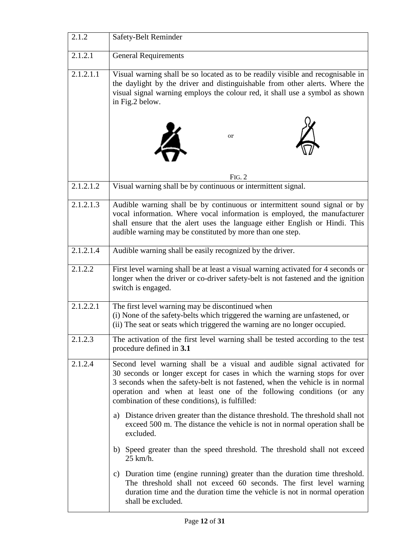| 2.1.2                  | Safety-Belt Reminder                                                                                                                                                                                                                                                                                                                                            |
|------------------------|-----------------------------------------------------------------------------------------------------------------------------------------------------------------------------------------------------------------------------------------------------------------------------------------------------------------------------------------------------------------|
| 2.1.2.1                | <b>General Requirements</b>                                                                                                                                                                                                                                                                                                                                     |
| 2.1.2.1.1              | Visual warning shall be so located as to be readily visible and recognisable in<br>the daylight by the driver and distinguishable from other alerts. Where the<br>visual signal warning employs the colour red, it shall use a symbol as shown<br>in Fig.2 below.                                                                                               |
|                        | or                                                                                                                                                                                                                                                                                                                                                              |
|                        | FIG. 2                                                                                                                                                                                                                                                                                                                                                          |
| 2.1.2.1.2              | Visual warning shall be by continuous or intermittent signal.                                                                                                                                                                                                                                                                                                   |
| $2.1.2.\overline{1.3}$ | Audible warning shall be by continuous or intermittent sound signal or by<br>vocal information. Where vocal information is employed, the manufacturer<br>shall ensure that the alert uses the language either English or Hindi. This<br>audible warning may be constituted by more than one step.                                                               |
| 2.1.2.1.4              | Audible warning shall be easily recognized by the driver.                                                                                                                                                                                                                                                                                                       |
| 2.1.2.2                | First level warning shall be at least a visual warning activated for 4 seconds or<br>longer when the driver or co-driver safety-belt is not fastened and the ignition<br>switch is engaged.                                                                                                                                                                     |
| 2.1.2.2.1              | The first level warning may be discontinued when<br>(i) None of the safety-belts which triggered the warning are unfastened, or<br>(ii) The seat or seats which triggered the warning are no longer occupied.                                                                                                                                                   |
| 2.1.2.3                | The activation of the first level warning shall be tested according to the test<br>procedure defined in 3.1                                                                                                                                                                                                                                                     |
| 2.1.2.4                | Second level warning shall be a visual and audible signal activated for<br>30 seconds or longer except for cases in which the warning stops for over<br>3 seconds when the safety-belt is not fastened, when the vehicle is in normal<br>operation and when at least one of the following conditions (or any<br>combination of these conditions), is fulfilled: |
|                        | a) Distance driven greater than the distance threshold. The threshold shall not<br>exceed 500 m. The distance the vehicle is not in normal operation shall be<br>excluded.                                                                                                                                                                                      |
|                        | b) Speed greater than the speed threshold. The threshold shall not exceed<br>25 km/h.                                                                                                                                                                                                                                                                           |
|                        | Duration time (engine running) greater than the duration time threshold.<br>$\mathbf{c})$<br>The threshold shall not exceed 60 seconds. The first level warning<br>duration time and the duration time the vehicle is not in normal operation<br>shall be excluded.                                                                                             |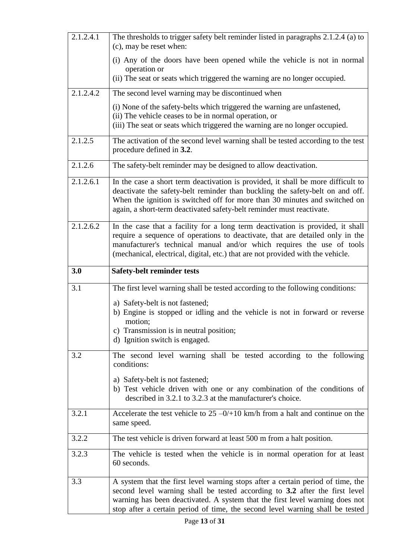| 2.1.2.4.1 | The thresholds to trigger safety belt reminder listed in paragraphs 2.1.2.4 (a) to<br>(c), may be reset when:                                                                                                                                                                                                                   |
|-----------|---------------------------------------------------------------------------------------------------------------------------------------------------------------------------------------------------------------------------------------------------------------------------------------------------------------------------------|
|           | (i) Any of the doors have been opened while the vehicle is not in normal<br>operation or                                                                                                                                                                                                                                        |
|           | (ii) The seat or seats which triggered the warning are no longer occupied.                                                                                                                                                                                                                                                      |
| 2.1.2.4.2 | The second level warning may be discontinued when                                                                                                                                                                                                                                                                               |
|           | (i) None of the safety-belts which triggered the warning are unfastened,<br>(ii) The vehicle ceases to be in normal operation, or<br>(iii) The seat or seats which triggered the warning are no longer occupied.                                                                                                                |
| 2.1.2.5   | The activation of the second level warning shall be tested according to the test<br>procedure defined in 3.2.                                                                                                                                                                                                                   |
| 2.1.2.6   | The safety-belt reminder may be designed to allow deactivation.                                                                                                                                                                                                                                                                 |
| 2.1.2.6.1 | In the case a short term deactivation is provided, it shall be more difficult to<br>deactivate the safety-belt reminder than buckling the safety-belt on and off.<br>When the ignition is switched off for more than 30 minutes and switched on<br>again, a short-term deactivated safety-belt reminder must reactivate.        |
| 2.1.2.6.2 | In the case that a facility for a long term deactivation is provided, it shall<br>require a sequence of operations to deactivate, that are detailed only in the<br>manufacturer's technical manual and/or which requires the use of tools<br>(mechanical, electrical, digital, etc.) that are not provided with the vehicle.    |
| 3.0       | <b>Safety-belt reminder tests</b>                                                                                                                                                                                                                                                                                               |
| 3.1       | The first level warning shall be tested according to the following conditions:                                                                                                                                                                                                                                                  |
|           | a) Safety-belt is not fastened;<br>b) Engine is stopped or idling and the vehicle is not in forward or reverse<br>motion;<br>c) Transmission is in neutral position;                                                                                                                                                            |
|           | d) Ignition switch is engaged.                                                                                                                                                                                                                                                                                                  |
| 3.2       | The second level warning shall be tested according to the following<br>conditions:                                                                                                                                                                                                                                              |
|           | a) Safety-belt is not fastened;<br>b) Test vehicle driven with one or any combination of the conditions of<br>described in 3.2.1 to 3.2.3 at the manufacturer's choice.                                                                                                                                                         |
| 3.2.1     | Accelerate the test vehicle to $25 - 0/10$ km/h from a halt and continue on the<br>same speed.                                                                                                                                                                                                                                  |
| 3.2.2     | The test vehicle is driven forward at least 500 m from a halt position.                                                                                                                                                                                                                                                         |
| 3.2.3     | The vehicle is tested when the vehicle is in normal operation for at least<br>60 seconds.                                                                                                                                                                                                                                       |
| 3.3       | A system that the first level warning stops after a certain period of time, the<br>second level warning shall be tested according to 3.2 after the first level<br>warning has been deactivated. A system that the first level warning does not<br>stop after a certain period of time, the second level warning shall be tested |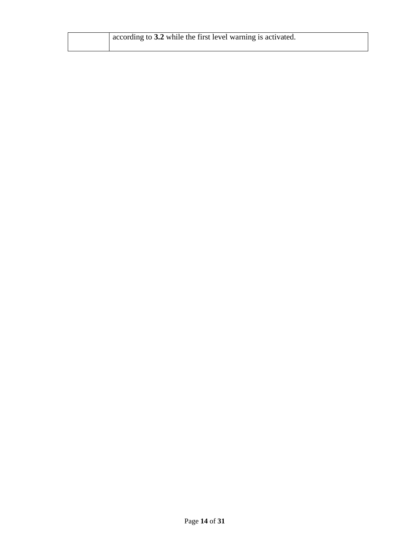| according to 3.2 while the first level warning is activated. |
|--------------------------------------------------------------|
|                                                              |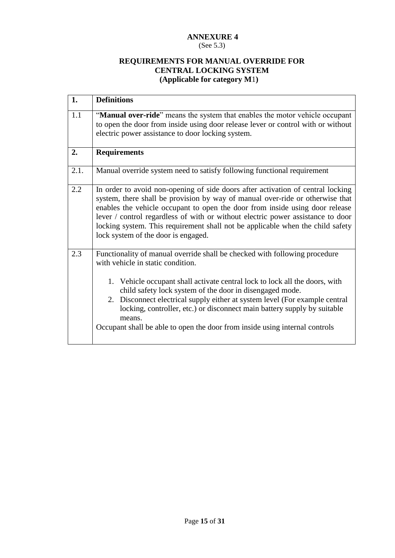### (See 5.3)

### **REQUIREMENTS FOR MANUAL OVERRIDE FOR CENTRAL LOCKING SYSTEM (Applicable for category M**1**)**

| 1.   | <b>Definitions</b>                                                                                                                                                                                                                                                                                                                                                                                                                                                                                             |
|------|----------------------------------------------------------------------------------------------------------------------------------------------------------------------------------------------------------------------------------------------------------------------------------------------------------------------------------------------------------------------------------------------------------------------------------------------------------------------------------------------------------------|
| 1.1  | "Manual over-ride" means the system that enables the motor vehicle occupant<br>to open the door from inside using door release lever or control with or without<br>electric power assistance to door locking system.                                                                                                                                                                                                                                                                                           |
| 2.   | <b>Requirements</b>                                                                                                                                                                                                                                                                                                                                                                                                                                                                                            |
| 2.1. | Manual override system need to satisfy following functional requirement                                                                                                                                                                                                                                                                                                                                                                                                                                        |
| 2.2  | In order to avoid non-opening of side doors after activation of central locking<br>system, there shall be provision by way of manual over-ride or otherwise that<br>enables the vehicle occupant to open the door from inside using door release<br>lever / control regardless of with or without electric power assistance to door<br>locking system. This requirement shall not be applicable when the child safety<br>lock system of the door is engaged.                                                   |
| 2.3  | Functionality of manual override shall be checked with following procedure<br>with vehicle in static condition.<br>1. Vehicle occupant shall activate central lock to lock all the doors, with<br>child safety lock system of the door in disengaged mode.<br>2. Disconnect electrical supply either at system level (For example central<br>locking, controller, etc.) or disconnect main battery supply by suitable<br>means.<br>Occupant shall be able to open the door from inside using internal controls |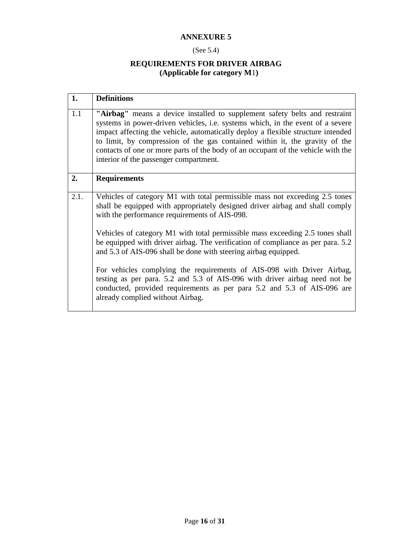### (See 5.4)

### **REQUIREMENTS FOR DRIVER AIRBAG (Applicable for category M**1**)**

| 1.   | <b>Definitions</b>                                                                                                                                                                                                                                                                                                                                                                                                                                                   |
|------|----------------------------------------------------------------------------------------------------------------------------------------------------------------------------------------------------------------------------------------------------------------------------------------------------------------------------------------------------------------------------------------------------------------------------------------------------------------------|
| 1.1  | "Airbag" means a device installed to supplement safety belts and restraint<br>systems in power-driven vehicles, <i>i.e.</i> systems which, in the event of a severe<br>impact affecting the vehicle, automatically deploy a flexible structure intended<br>to limit, by compression of the gas contained within it, the gravity of the<br>contacts of one or more parts of the body of an occupant of the vehicle with the<br>interior of the passenger compartment. |
| 2.   | <b>Requirements</b>                                                                                                                                                                                                                                                                                                                                                                                                                                                  |
| 2.1. | Vehicles of category M1 with total permissible mass not exceeding 2.5 tones<br>shall be equipped with appropriately designed driver airbag and shall comply<br>with the performance requirements of AIS-098.                                                                                                                                                                                                                                                         |
|      | Vehicles of category M1 with total permissible mass exceeding 2.5 tones shall<br>be equipped with driver airbag. The verification of compliance as per para. 5.2<br>and 5.3 of AIS-096 shall be done with steering airbag equipped.                                                                                                                                                                                                                                  |
|      | For vehicles complying the requirements of AIS-098 with Driver Airbag,<br>testing as per para. 5.2 and 5.3 of AIS-096 with driver airbag need not be<br>conducted, provided requirements as per para 5.2 and 5.3 of AIS-096 are<br>already complied without Airbag.                                                                                                                                                                                                  |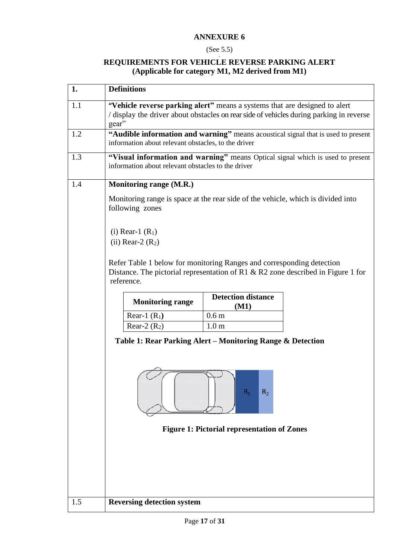### (See 5.5)

### **, REQUIREMENTS FOR VEHICLE REVERSE PARKING ALERT (Applicable for category M1, M2 derived from M1)**

| 1.  | <b>Definitions</b>                                                                                                                                                             |
|-----|--------------------------------------------------------------------------------------------------------------------------------------------------------------------------------|
| 1.1 | "Vehicle reverse parking alert" means a systems that are designed to alert<br>/ display the driver about obstacles on rear side of vehicles during parking in reverse<br>gear" |
| 1.2 | "Audible information and warning" means acoustical signal that is used to present<br>information about relevant obstacles, to the driver                                       |
| 1.3 | "Visual information and warning" means Optical signal which is used to present<br>information about relevant obstacles to the driver                                           |
| 1.4 | Monitoring range (M.R.)                                                                                                                                                        |
|     | Monitoring range is space at the rear side of the vehicle, which is divided into<br>following zones                                                                            |
|     | (i) Rear-1 $(R_1)$<br>$(ii)$ Rear-2 $(R2)$                                                                                                                                     |
|     | Refer Table 1 below for monitoring Ranges and corresponding detection<br>Distance. The pictorial representation of R1 & R2 zone described in Figure 1 for<br>reference.        |
|     | <b>Detection distance</b><br><b>Monitoring range</b><br>(M1)                                                                                                                   |
|     | 0.6 <sub>m</sub><br>Rear-1 $(R_1)$                                                                                                                                             |
|     | 1.0 <sub>m</sub><br>Rear-2 $(R2)$                                                                                                                                              |
|     | Table 1: Rear Parking Alert – Monitoring Range & Detection<br>R <sub>2</sub><br>$R_1$                                                                                          |
|     | <b>Figure 1: Pictorial representation of Zones</b>                                                                                                                             |
|     |                                                                                                                                                                                |
|     |                                                                                                                                                                                |
|     |                                                                                                                                                                                |
| 1.5 |                                                                                                                                                                                |
|     | <b>Reversing detection system</b>                                                                                                                                              |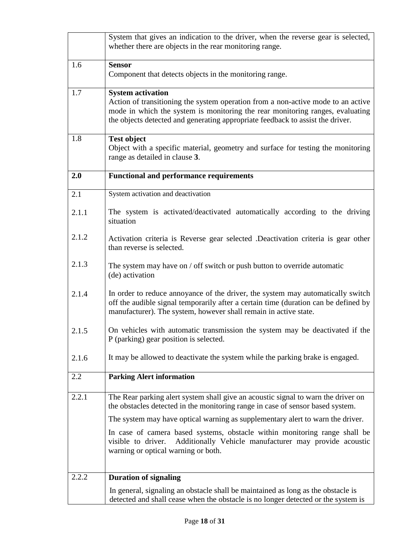|       | System that gives an indication to the driver, when the reverse gear is selected,<br>whether there are objects in the rear monitoring range.                                                                                                                                    |
|-------|---------------------------------------------------------------------------------------------------------------------------------------------------------------------------------------------------------------------------------------------------------------------------------|
| 1.6   | <b>Sensor</b><br>Component that detects objects in the monitoring range.                                                                                                                                                                                                        |
| 1.7   | <b>System activation</b><br>Action of transitioning the system operation from a non-active mode to an active<br>mode in which the system is monitoring the rear monitoring ranges, evaluating<br>the objects detected and generating appropriate feedback to assist the driver. |
| 1.8   | <b>Test object</b><br>Object with a specific material, geometry and surface for testing the monitoring<br>range as detailed in clause 3.                                                                                                                                        |
| 2.0   | <b>Functional and performance requirements</b>                                                                                                                                                                                                                                  |
| 2.1   | System activation and deactivation                                                                                                                                                                                                                                              |
| 2.1.1 | The system is activated/deactivated automatically according to the driving<br>situation                                                                                                                                                                                         |
| 2.1.2 | Activation criteria is Reverse gear selected .Deactivation criteria is gear other<br>than reverse is selected.                                                                                                                                                                  |
| 2.1.3 | The system may have on / off switch or push button to override automatic<br>(de) activation                                                                                                                                                                                     |
| 2.1.4 | In order to reduce annoyance of the driver, the system may automatically switch<br>off the audible signal temporarily after a certain time (duration can be defined by<br>manufacturer). The system, however shall remain in active state.                                      |
| 2.1.5 | On vehicles with automatic transmission the system may be deactivated if the<br>P (parking) gear position is selected.                                                                                                                                                          |
| 2.1.6 | It may be allowed to deactivate the system while the parking brake is engaged.                                                                                                                                                                                                  |
| 2.2   | <b>Parking Alert information</b>                                                                                                                                                                                                                                                |
| 2.2.1 | The Rear parking alert system shall give an acoustic signal to warn the driver on<br>the obstacles detected in the monitoring range in case of sensor based system.                                                                                                             |
|       | The system may have optical warning as supplementary alert to warn the driver.                                                                                                                                                                                                  |
|       | In case of camera based systems, obstacle within monitoring range shall be<br>Additionally Vehicle manufacturer may provide acoustic<br>visible to driver.<br>warning or optical warning or both.                                                                               |
| 2.2.2 | <b>Duration of signaling</b>                                                                                                                                                                                                                                                    |
|       | In general, signaling an obstacle shall be maintained as long as the obstacle is<br>detected and shall cease when the obstacle is no longer detected or the system is                                                                                                           |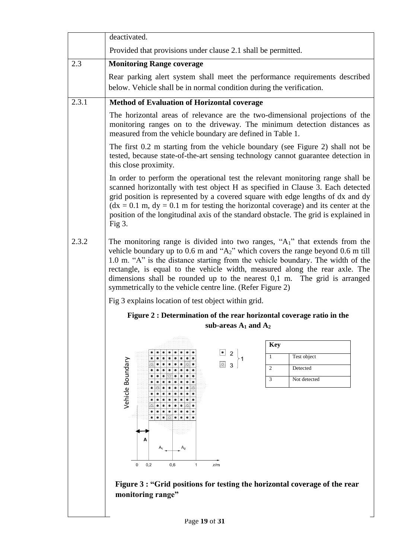|       | deactivated.                                                                                                                                                                                                                                                                                                                                                                                                                                                                           |  |  |
|-------|----------------------------------------------------------------------------------------------------------------------------------------------------------------------------------------------------------------------------------------------------------------------------------------------------------------------------------------------------------------------------------------------------------------------------------------------------------------------------------------|--|--|
|       | Provided that provisions under clause 2.1 shall be permitted.                                                                                                                                                                                                                                                                                                                                                                                                                          |  |  |
| 2.3   | <b>Monitoring Range coverage</b>                                                                                                                                                                                                                                                                                                                                                                                                                                                       |  |  |
|       | Rear parking alert system shall meet the performance requirements described                                                                                                                                                                                                                                                                                                                                                                                                            |  |  |
|       | below. Vehicle shall be in normal condition during the verification.                                                                                                                                                                                                                                                                                                                                                                                                                   |  |  |
| 2.3.1 | <b>Method of Evaluation of Horizontal coverage</b>                                                                                                                                                                                                                                                                                                                                                                                                                                     |  |  |
|       | The horizontal areas of relevance are the two-dimensional projections of the<br>monitoring ranges on to the driveway. The minimum detection distances as<br>measured from the vehicle boundary are defined in Table 1.                                                                                                                                                                                                                                                                 |  |  |
|       | The first 0.2 m starting from the vehicle boundary (see Figure 2) shall not be<br>tested, because state-of-the-art sensing technology cannot guarantee detection in<br>this close proximity.                                                                                                                                                                                                                                                                                           |  |  |
|       | In order to perform the operational test the relevant monitoring range shall be<br>scanned horizontally with test object H as specified in Clause 3. Each detected<br>grid position is represented by a covered square with edge lengths of dx and dy<br>$(dx = 0.1$ m, $dy = 0.1$ m for testing the horizontal coverage) and its center at the<br>position of the longitudinal axis of the standard obstacle. The grid is explained in<br>Fig $3$ .                                   |  |  |
| 2.3.2 | The monitoring range is divided into two ranges, " $A_1$ " that extends from the<br>vehicle boundary up to 0.6 m and " $A_2$ " which covers the range beyond 0.6 m till<br>1.0 m. "A" is the distance starting from the vehicle boundary. The width of the<br>rectangle, is equal to the vehicle width, measured along the rear axle. The<br>dimensions shall be rounded up to the nearest $0,1$ m. The grid is arranged<br>symmetrically to the vehicle centre line. (Refer Figure 2) |  |  |
|       | Fig 3 explains location of test object within grid.                                                                                                                                                                                                                                                                                                                                                                                                                                    |  |  |
|       | Figure 2 : Determination of the rear horizontal coverage ratio in the                                                                                                                                                                                                                                                                                                                                                                                                                  |  |  |
|       | sub-areas $A_1$ and $A_2$                                                                                                                                                                                                                                                                                                                                                                                                                                                              |  |  |
|       | <b>Key</b>                                                                                                                                                                                                                                                                                                                                                                                                                                                                             |  |  |
|       | $\bullet$<br>$\overline{2}$<br>Test object<br>1                                                                                                                                                                                                                                                                                                                                                                                                                                        |  |  |
|       | $\circ$<br>3<br>$\overline{2}$<br>Detected                                                                                                                                                                                                                                                                                                                                                                                                                                             |  |  |
|       | Vehicle Boundary<br>$\overline{3}$<br>Not detected                                                                                                                                                                                                                                                                                                                                                                                                                                     |  |  |
|       |                                                                                                                                                                                                                                                                                                                                                                                                                                                                                        |  |  |
|       |                                                                                                                                                                                                                                                                                                                                                                                                                                                                                        |  |  |
|       | $\circ$                                                                                                                                                                                                                                                                                                                                                                                                                                                                                |  |  |
|       |                                                                                                                                                                                                                                                                                                                                                                                                                                                                                        |  |  |
|       | A <sub>2</sub>                                                                                                                                                                                                                                                                                                                                                                                                                                                                         |  |  |
|       | 0<br>0,2<br>0,6<br>1<br>x/m                                                                                                                                                                                                                                                                                                                                                                                                                                                            |  |  |
|       |                                                                                                                                                                                                                                                                                                                                                                                                                                                                                        |  |  |
|       | Figure 3 : "Grid positions for testing the horizontal coverage of the rear<br>monitoring range"                                                                                                                                                                                                                                                                                                                                                                                        |  |  |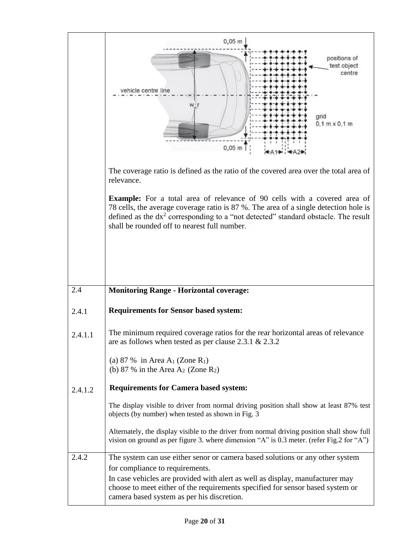|         | 0,05<br>positions of<br>test object<br>centre<br>vehicle centre line<br>grid<br>$0,1 m \times 0,1 m$<br>$0,05 \; \text{m}$                                                                                                                                                                                                        |
|---------|-----------------------------------------------------------------------------------------------------------------------------------------------------------------------------------------------------------------------------------------------------------------------------------------------------------------------------------|
|         | The coverage ratio is defined as the ratio of the covered area over the total area of<br>relevance.                                                                                                                                                                                                                               |
|         | Example: For a total area of relevance of 90 cells with a covered area of<br>78 cells, the average coverage ratio is 87 %. The area of a single detection hole is<br>defined as the dx <sup>2</sup> corresponding to a "not detected" standard obstacle. The result<br>shall be rounded off to nearest full number.               |
|         |                                                                                                                                                                                                                                                                                                                                   |
| 2.4     | <b>Monitoring Range - Horizontal coverage:</b>                                                                                                                                                                                                                                                                                    |
| 2.4.1   | <b>Requirements for Sensor based system:</b>                                                                                                                                                                                                                                                                                      |
| 2.4.1.1 | The minimum required coverage ratios for the rear horizontal areas of relevance<br>are as follows when tested as per clause $2.3.1 \& 2.3.2$                                                                                                                                                                                      |
|         | (a) 87 % in Area $A_1$ (Zone $R_1$ )<br>(b) 87 % in the Area $A_2$ (Zone $R_2$ )                                                                                                                                                                                                                                                  |
| 2.4.1.2 | <b>Requirements for Camera based system:</b>                                                                                                                                                                                                                                                                                      |
|         | The display visible to driver from normal driving position shall show at least 87% test<br>objects (by number) when tested as shown in Fig. 3                                                                                                                                                                                     |
|         | Alternately, the display visible to the driver from normal driving position shall show full<br>vision on ground as per figure 3. where dimension "A" is 0.3 meter. (refer Fig.2 for "A")                                                                                                                                          |
| 2.4.2   | The system can use either senor or camera based solutions or any other system<br>for compliance to requirements.<br>In case vehicles are provided with alert as well as display, manufacturer may<br>choose to meet either of the requirements specified for sensor based system or<br>camera based system as per his discretion. |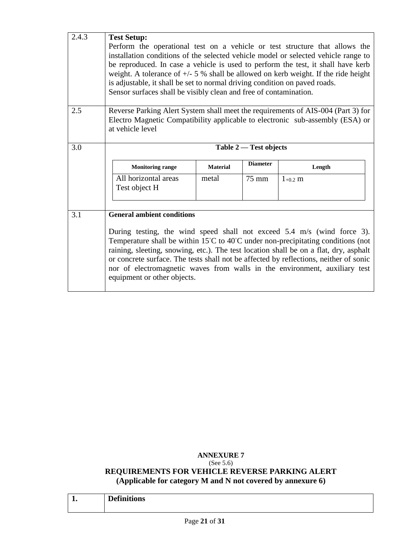| 2.4.3 | <b>Test Setup:</b><br>is adjustable, it shall be set to normal driving condition on paved roads.<br>Sensor surfaces shall be visibly clean and free of contamination. |                        |                 | Perform the operational test on a vehicle or test structure that allows the<br>installation conditions of the selected vehicle model or selected vehicle range to<br>be reproduced. In case a vehicle is used to perform the test, it shall have kerb<br>weight. A tolerance of $+/- 5$ % shall be allowed on kerb weight. If the ride height |  |
|-------|-----------------------------------------------------------------------------------------------------------------------------------------------------------------------|------------------------|-----------------|-----------------------------------------------------------------------------------------------------------------------------------------------------------------------------------------------------------------------------------------------------------------------------------------------------------------------------------------------|--|
| 2.5   | at vehicle level                                                                                                                                                      |                        |                 | Reverse Parking Alert System shall meet the requirements of AIS-004 (Part 3) for<br>Electro Magnetic Compatibility applicable to electronic sub-assembly (ESA) or                                                                                                                                                                             |  |
| 3.0   |                                                                                                                                                                       | Table 2 — Test objects |                 |                                                                                                                                                                                                                                                                                                                                               |  |
|       | <b>Monitoring range</b>                                                                                                                                               | <b>Material</b>        | <b>Diameter</b> | Length                                                                                                                                                                                                                                                                                                                                        |  |
|       | All horizontal areas<br>Test object H                                                                                                                                 | metal                  | 75 mm           | $1_{+0.2}$ m                                                                                                                                                                                                                                                                                                                                  |  |
| 3.1   | <b>General ambient conditions</b>                                                                                                                                     |                        |                 |                                                                                                                                                                                                                                                                                                                                               |  |
|       | raining, sleeting, snowing, etc.). The test location shall be on a flat, dry, asphalt                                                                                 |                        |                 | During testing, the wind speed shall not exceed 5.4 m/s (wind force 3).<br>Temperature shall be within $15^{\circ}$ C to $40^{\circ}$ C under non-precipitating conditions (not                                                                                                                                                               |  |

### **ANNEXURE 7** (See 5.6) **REQUIREMENTS FOR VEHICLE REVERSE PARKING ALERT (Applicable for category M and N not covered by annexure 6)**

|     | <b>Definitions</b> |
|-----|--------------------|
| . . |                    |
|     |                    |
|     |                    |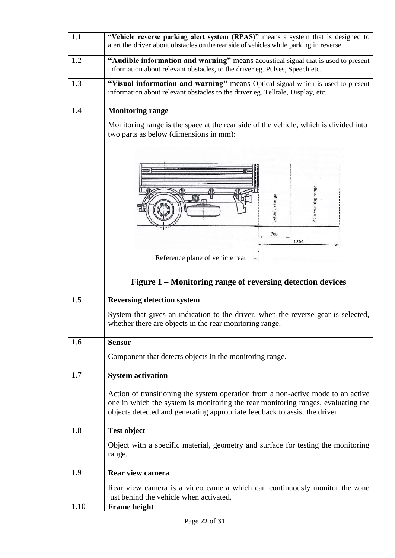| 1.1  | "Vehicle reverse parking alert system (RPAS)" means a system that is designed to<br>alert the driver about obstacles on the rear side of vehicles while parking in reverse                                                                         |
|------|----------------------------------------------------------------------------------------------------------------------------------------------------------------------------------------------------------------------------------------------------|
| 1.2  | "Audible information and warning" means acoustical signal that is used to present<br>information about relevant obstacles, to the driver eg. Pulses, Speech etc.                                                                                   |
| 1.3  | "Visual information and warning" means Optical signal which is used to present<br>information about relevant obstacles to the driver eg. Telltale, Display, etc.                                                                                   |
| 1.4  | <b>Monitoring range</b>                                                                                                                                                                                                                            |
|      | Monitoring range is the space at the rear side of the vehicle, which is divided into<br>two parts as below (dimensions in mm):                                                                                                                     |
|      | Main warning rang<br>Collision range                                                                                                                                                                                                               |
|      | 700<br>1800                                                                                                                                                                                                                                        |
|      | Reference plane of vehicle rear                                                                                                                                                                                                                    |
|      |                                                                                                                                                                                                                                                    |
|      | Figure 1 – Monitoring range of reversing detection devices                                                                                                                                                                                         |
| 1.5  | <b>Reversing detection system</b>                                                                                                                                                                                                                  |
|      | System that gives an indication to the driver, when the reverse gear is selected,<br>whether there are objects in the rear monitoring range.                                                                                                       |
| 1.6  | <b>Sensor</b>                                                                                                                                                                                                                                      |
|      | Component that detects objects in the monitoring range.                                                                                                                                                                                            |
| 1.7  | <b>System activation</b>                                                                                                                                                                                                                           |
|      | Action of transitioning the system operation from a non-active mode to an active<br>one in which the system is monitoring the rear monitoring ranges, evaluating the<br>objects detected and generating appropriate feedback to assist the driver. |
| 1.8  | <b>Test object</b>                                                                                                                                                                                                                                 |
|      | Object with a specific material, geometry and surface for testing the monitoring<br>range.                                                                                                                                                         |
| 1.9  | Rear view camera                                                                                                                                                                                                                                   |
|      | Rear view camera is a video camera which can continuously monitor the zone<br>just behind the vehicle when activated.                                                                                                                              |
| 1.10 | <b>Frame height</b>                                                                                                                                                                                                                                |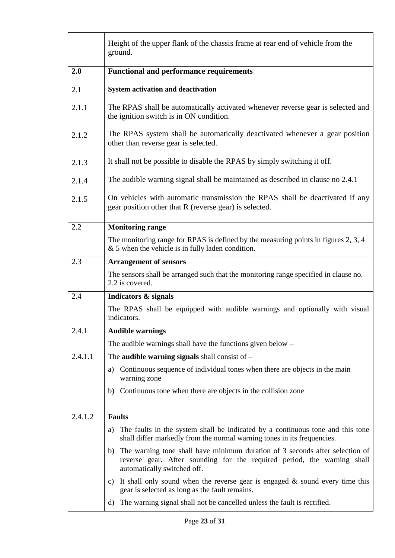|         | Height of the upper flank of the chassis frame at rear end of vehicle from the<br>ground.                                                                                                 |  |
|---------|-------------------------------------------------------------------------------------------------------------------------------------------------------------------------------------------|--|
| 2.0     | <b>Functional and performance requirements</b>                                                                                                                                            |  |
| 2.1     | System activation and deactivation                                                                                                                                                        |  |
| 2.1.1   | The RPAS shall be automatically activated whenever reverse gear is selected and<br>the ignition switch is in ON condition.                                                                |  |
| 2.1.2   | The RPAS system shall be automatically deactivated whenever a gear position<br>other than reverse gear is selected.                                                                       |  |
| 2.1.3   | It shall not be possible to disable the RPAS by simply switching it off.                                                                                                                  |  |
| 2.1.4   | The audible warning signal shall be maintained as described in clause no 2.4.1                                                                                                            |  |
| 2.1.5   | On vehicles with automatic transmission the RPAS shall be deactivated if any<br>gear position other that R (reverse gear) is selected.                                                    |  |
| 2.2     | <b>Monitoring range</b>                                                                                                                                                                   |  |
|         | The monitoring range for RPAS is defined by the measuring points in figures 2, 3, 4<br>$&$ 5 when the vehicle is in fully laden condition.                                                |  |
| 2.3     | <b>Arrangement of sensors</b>                                                                                                                                                             |  |
|         | The sensors shall be arranged such that the monitoring range specified in clause no.<br>2.2 is covered.                                                                                   |  |
| 2.4     | Indicators & signals                                                                                                                                                                      |  |
|         | The RPAS shall be equipped with audible warnings and optionally with visual<br>indicators.                                                                                                |  |
| 2.4.1   | <b>Audible warnings</b>                                                                                                                                                                   |  |
|         | The audible warnings shall have the functions given below $-$                                                                                                                             |  |
| 2.4.1.1 | The audible warning signals shall consist of $-$                                                                                                                                          |  |
|         | Continuous sequence of individual tones when there are objects in the main<br>a)<br>warning zone                                                                                          |  |
|         | b) Continuous tone when there are objects in the collision zone                                                                                                                           |  |
| 2.4.1.2 | <b>Faults</b>                                                                                                                                                                             |  |
|         | The faults in the system shall be indicated by a continuous tone and this tone<br>a)<br>shall differ markedly from the normal warning tones in its frequencies.                           |  |
|         | b) The warning tone shall have minimum duration of 3 seconds after selection of<br>reverse gear. After sounding for the required period, the warning shall<br>automatically switched off. |  |
|         | c) It shall only sound when the reverse gear is engaged $\&$ sound every time this<br>gear is selected as long as the fault remains.                                                      |  |
|         | The warning signal shall not be cancelled unless the fault is rectified.<br>d)                                                                                                            |  |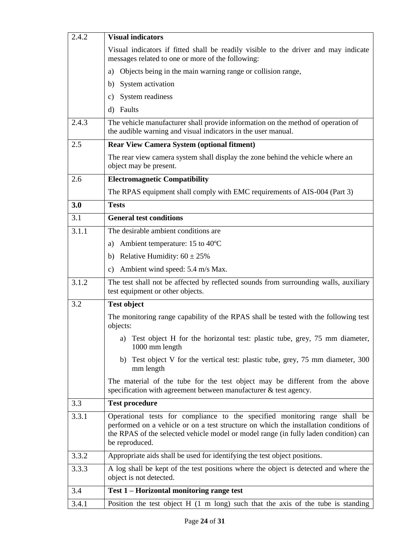| 2.4.2 | <b>Visual indicators</b>                                                                                                                                                                                                                                                       |  |
|-------|--------------------------------------------------------------------------------------------------------------------------------------------------------------------------------------------------------------------------------------------------------------------------------|--|
|       | Visual indicators if fitted shall be readily visible to the driver and may indicate<br>messages related to one or more of the following:                                                                                                                                       |  |
|       | Objects being in the main warning range or collision range,<br>a)                                                                                                                                                                                                              |  |
|       | System activation<br>b)                                                                                                                                                                                                                                                        |  |
|       | System readiness<br>C)                                                                                                                                                                                                                                                         |  |
|       | Faults<br>$\mathbf{d}$                                                                                                                                                                                                                                                         |  |
| 2.4.3 | The vehicle manufacturer shall provide information on the method of operation of<br>the audible warning and visual indicators in the user manual.                                                                                                                              |  |
| 2.5   | <b>Rear View Camera System (optional fitment)</b>                                                                                                                                                                                                                              |  |
|       | The rear view camera system shall display the zone behind the vehicle where an<br>object may be present.                                                                                                                                                                       |  |
| 2.6   | <b>Electromagnetic Compatibility</b>                                                                                                                                                                                                                                           |  |
|       | The RPAS equipment shall comply with EMC requirements of AIS-004 (Part 3)                                                                                                                                                                                                      |  |
| 3.0   | <b>Tests</b>                                                                                                                                                                                                                                                                   |  |
| 3.1   | <b>General test conditions</b>                                                                                                                                                                                                                                                 |  |
| 3.1.1 | The desirable ambient conditions are                                                                                                                                                                                                                                           |  |
|       | Ambient temperature: 15 to 40°C<br>a)                                                                                                                                                                                                                                          |  |
|       | Relative Humidity: $60 \pm 25\%$<br>b)                                                                                                                                                                                                                                         |  |
|       | Ambient wind speed: 5.4 m/s Max.<br>$\mathbf{c})$                                                                                                                                                                                                                              |  |
| 3.1.2 | The test shall not be affected by reflected sounds from surrounding walls, auxiliary<br>test equipment or other objects.                                                                                                                                                       |  |
| 3.2   | <b>Test object</b>                                                                                                                                                                                                                                                             |  |
|       | The monitoring range capability of the RPAS shall be tested with the following test<br>objects:                                                                                                                                                                                |  |
|       | a) Test object H for the horizontal test: plastic tube, grey, 75 mm diameter,<br>1000 mm length                                                                                                                                                                                |  |
|       | b) Test object V for the vertical test: plastic tube, grey, 75 mm diameter, 300<br>mm length                                                                                                                                                                                   |  |
|       | The material of the tube for the test object may be different from the above<br>specification with agreement between manufacturer $\&$ test agency.                                                                                                                            |  |
| 3.3   | <b>Test procedure</b>                                                                                                                                                                                                                                                          |  |
| 3.3.1 | Operational tests for compliance to the specified monitoring range shall be<br>performed on a vehicle or on a test structure on which the installation conditions of<br>the RPAS of the selected vehicle model or model range (in fully laden condition) can<br>be reproduced. |  |
| 3.3.2 | Appropriate aids shall be used for identifying the test object positions.                                                                                                                                                                                                      |  |
| 3.3.3 | A log shall be kept of the test positions where the object is detected and where the<br>object is not detected.                                                                                                                                                                |  |
| 3.4   | Test 1 – Horizontal monitoring range test                                                                                                                                                                                                                                      |  |
| 3.4.1 | Position the test object $H(1 \text{ m long})$ such that the axis of the tube is standing                                                                                                                                                                                      |  |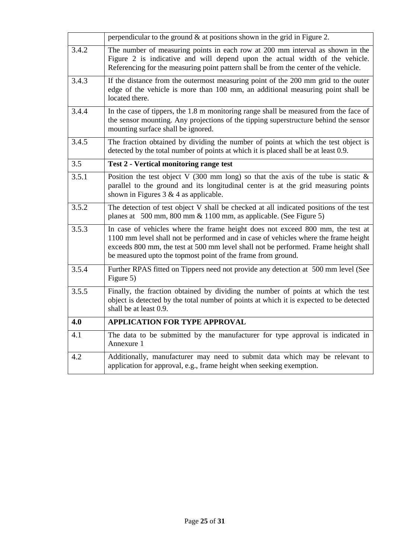|       | perpendicular to the ground $\&$ at positions shown in the grid in Figure 2.                                                                                                                                                                                                                                                 |
|-------|------------------------------------------------------------------------------------------------------------------------------------------------------------------------------------------------------------------------------------------------------------------------------------------------------------------------------|
| 3.4.2 | The number of measuring points in each row at 200 mm interval as shown in the<br>Figure 2 is indicative and will depend upon the actual width of the vehicle.<br>Referencing for the measuring point pattern shall be from the center of the vehicle.                                                                        |
| 3.4.3 | If the distance from the outermost measuring point of the 200 mm grid to the outer<br>edge of the vehicle is more than 100 mm, an additional measuring point shall be<br>located there.                                                                                                                                      |
| 3.4.4 | In the case of tippers, the 1.8 m monitoring range shall be measured from the face of<br>the sensor mounting. Any projections of the tipping superstructure behind the sensor<br>mounting surface shall be ignored.                                                                                                          |
| 3.4.5 | The fraction obtained by dividing the number of points at which the test object is<br>detected by the total number of points at which it is placed shall be at least 0.9.                                                                                                                                                    |
| 3.5   | <b>Test 2 - Vertical monitoring range test</b>                                                                                                                                                                                                                                                                               |
| 3.5.1 | Position the test object V (300 mm long) so that the axis of the tube is static $\&$<br>parallel to the ground and its longitudinal center is at the grid measuring points<br>shown in Figures $3 \& 4$ as applicable.                                                                                                       |
| 3.5.2 | The detection of test object V shall be checked at all indicated positions of the test<br>planes at 500 mm, 800 mm & 1100 mm, as applicable. (See Figure 5)                                                                                                                                                                  |
| 3.5.3 | In case of vehicles where the frame height does not exceed 800 mm, the test at<br>1100 mm level shall not be performed and in case of vehicles where the frame height<br>exceeds 800 mm, the test at 500 mm level shall not be performed. Frame height shall<br>be measured upto the topmost point of the frame from ground. |
| 3.5.4 | Further RPAS fitted on Tippers need not provide any detection at 500 mm level (See<br>Figure 5)                                                                                                                                                                                                                              |
| 3.5.5 | Finally, the fraction obtained by dividing the number of points at which the test<br>object is detected by the total number of points at which it is expected to be detected<br>shall be at least 0.9.                                                                                                                       |
| 4.0   | <b>APPLICATION FOR TYPE APPROVAL</b>                                                                                                                                                                                                                                                                                         |
| 4.1   | The data to be submitted by the manufacturer for type approval is indicated in<br>Annexure 1                                                                                                                                                                                                                                 |
| 4.2   | Additionally, manufacturer may need to submit data which may be relevant to<br>application for approval, e.g., frame height when seeking exemption.                                                                                                                                                                          |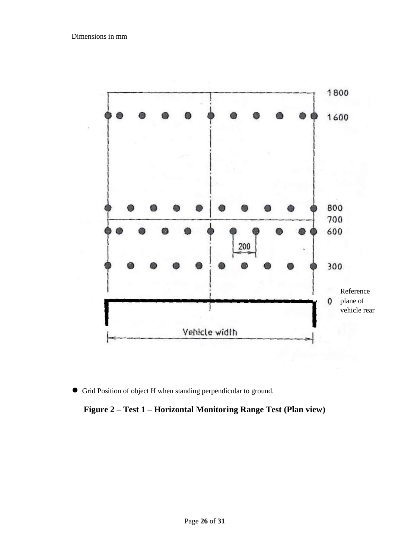

● Grid Position of object H when standing perpendicular to ground.

**Figure 2 – Test 1 – Horizontal Monitoring Range Test (Plan view)**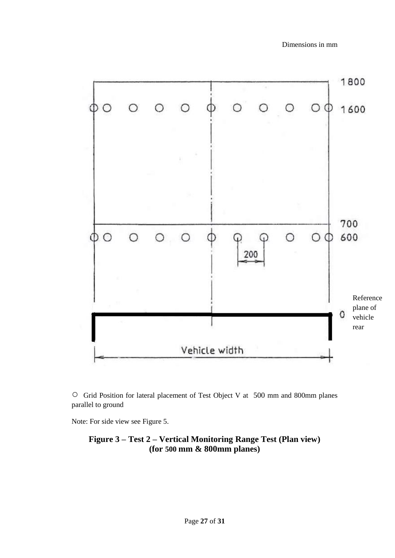

○ Grid Position for lateral placement of Test Object V at 500 mm and 800mm planes parallel to ground

Note: For side view see Figure 5.

**Figure 3 – Test 2 – Vertical Monitoring Range Test (Plan view) (for 500 mm & 800mm planes)**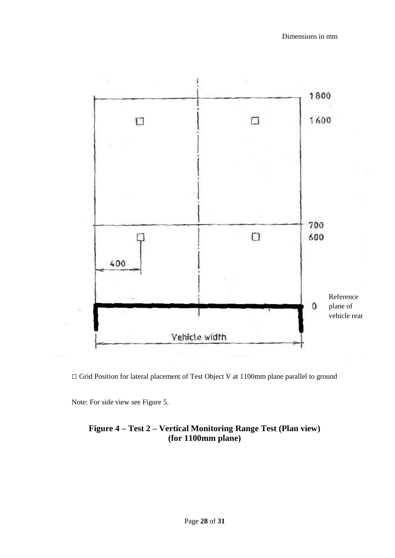

□ Grid Position for lateral placement of Test Object V at 1100mm plane parallel to ground

Note: For side view see Figure 5.

### **Figure 4 – Test 2 – Vertical Monitoring Range Test (Plan view) (for 1100mm plane)**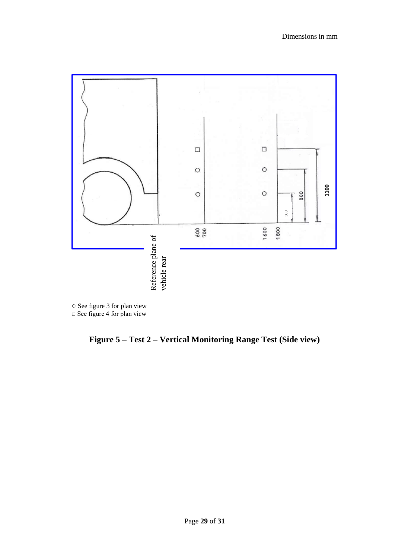

○ See figure 3 for plan view  $\Box$  See figure 4 for plan view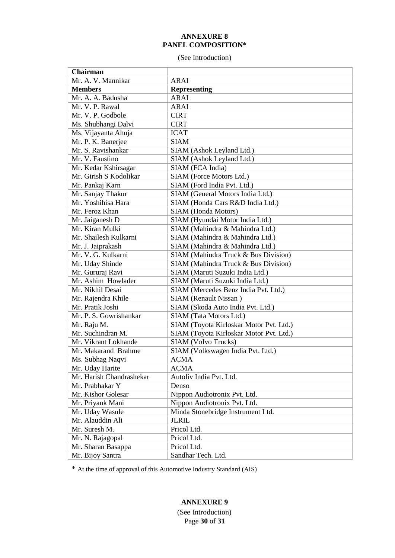#### **ANNEXURE 8 PANEL COMPOSITION\***

(See Introduction)

| Chairman                                                                      |                                                                                                   |
|-------------------------------------------------------------------------------|---------------------------------------------------------------------------------------------------|
| Mr. A. V. Mannikar                                                            | <b>ARAI</b>                                                                                       |
| <b>Members</b>                                                                | <b>Representing</b>                                                                               |
| Mr. A. A. Badusha                                                             | <b>ARAI</b>                                                                                       |
| Mr. V. P. Rawal                                                               | <b>ARAI</b>                                                                                       |
| Mr. V. P. Godbole                                                             | <b>CIRT</b>                                                                                       |
| Ms. Shubhangi Dalvi                                                           | <b>CIRT</b>                                                                                       |
| Ms. Vijayanta Ahuja                                                           | <b>ICAT</b>                                                                                       |
| Mr. P. K. Banerjee                                                            | <b>SIAM</b>                                                                                       |
| Mr. S. Ravishankar                                                            | SIAM (Ashok Leyland Ltd.)                                                                         |
| Mr. V. Faustino                                                               | SIAM (Ashok Leyland Ltd.)                                                                         |
| Mr. Kedar Kshirsagar                                                          | SIAM (FCA India)                                                                                  |
| Mr. Girish S Kodolikar                                                        | SIAM (Force Motors Ltd.)                                                                          |
| Mr. Pankaj Karn                                                               | SIAM (Ford India Pvt. Ltd.)                                                                       |
| Mr. Sanjay Thakur                                                             | SIAM (General Motors India Ltd.)                                                                  |
| Mr. Yoshihisa Hara                                                            | SIAM (Honda Cars R&D India Ltd.)                                                                  |
| Mr. Feroz Khan                                                                | SIAM (Honda Motors)                                                                               |
| Mr. Jaiganesh D                                                               | SIAM (Hyundai Motor India Ltd.)                                                                   |
| Mr. Kiran Mulki                                                               | SIAM (Mahindra & Mahindra Ltd.)                                                                   |
| Mr. Shailesh Kulkarni                                                         | SIAM (Mahindra & Mahindra Ltd.)                                                                   |
| Mr. J. Jaiprakash                                                             | SIAM (Mahindra & Mahindra Ltd.)                                                                   |
| Mr. V. G. Kulkarni                                                            | SIAM (Mahindra Truck & Bus Division)                                                              |
| Mr. Uday Shinde                                                               | SIAM (Mahindra Truck & Bus Division)                                                              |
| Mr. Gururaj Ravi                                                              | SIAM (Maruti Suzuki India Ltd.)                                                                   |
| Mr. Ashim Howlader                                                            | SIAM (Maruti Suzuki India Ltd.)                                                                   |
| Mr. Nikhil Desai                                                              | SIAM (Mercedes Benz India Pvt. Ltd.)                                                              |
| Mr. Rajendra Khile                                                            | SIAM (Renault Nissan)                                                                             |
| Mr. Pratik Joshi                                                              | SIAM (Skoda Auto India Pvt. Ltd.)                                                                 |
| Mr. P. S. Gowrishankar                                                        | SIAM (Tata Motors Ltd.)                                                                           |
| Mr. Raju M.                                                                   | SIAM (Toyota Kirloskar Motor Pvt. Ltd.)                                                           |
| Mr. Suchindran M.                                                             | SIAM (Toyota Kirloskar Motor Pvt. Ltd.)                                                           |
| Mr. Vikrant Lokhande                                                          | SIAM (Volvo Trucks)                                                                               |
| Mr. Makarand Brahme                                                           | SIAM (Volkswagen India Pvt. Ltd.)                                                                 |
| Ms. Subhag Naqvi                                                              | <b>ACMA</b>                                                                                       |
| Mr. Uday Harite                                                               | <b>ACMA</b>                                                                                       |
| Mr. Harish Chandrashekar                                                      | Autoliv India Pvt. Ltd.                                                                           |
| Mr. Prabhakar Y                                                               | Denso                                                                                             |
| Mr. Kishor Golesar                                                            |                                                                                                   |
|                                                                               |                                                                                                   |
|                                                                               |                                                                                                   |
| Mr. Alauddin Ali                                                              | <b>JLRIL</b>                                                                                      |
| Mr. Suresh M.                                                                 | Pricol Ltd.                                                                                       |
|                                                                               | Pricol Ltd.                                                                                       |
|                                                                               | Pricol Ltd.                                                                                       |
| Mr. Bijoy Santra                                                              | Sandhar Tech. Ltd.                                                                                |
| Mr. Priyank Mani<br>Mr. Uday Wasule<br>Mr. N. Rajagopal<br>Mr. Sharan Basappa | Nippon Audiotronix Pvt. Ltd.<br>Nippon Audiotronix Pvt. Ltd.<br>Minda Stonebridge Instrument Ltd. |

\* At the time of approval of this Automotive Industry Standard (AIS)

### **ANNEXURE 9**

Page **30** of **31** (See Introduction)